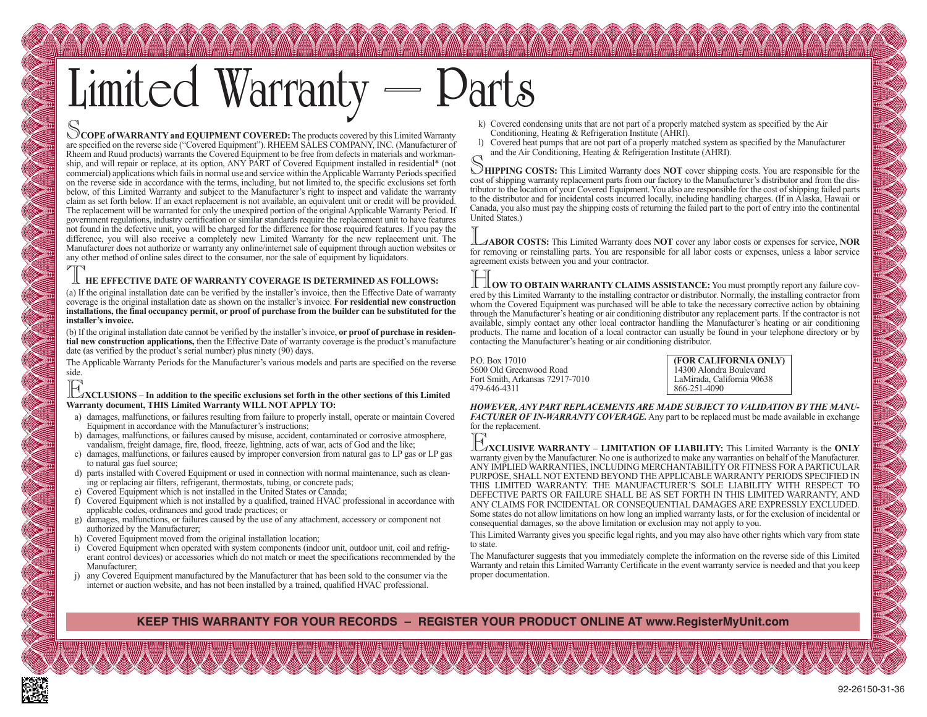# Limited Warranty

COPE of WARRANTY and EQUIPMENT COVERED: The products covered by this Limited Warranty are specified on the reverse side ("Covered Equipment"). RHEEM SALES COMPANY, INC. (Manufacturer of Rheem and Ruud products) warrants the Covered Equipment to be free from defects in materials and workmanship, and will repair or replace, at its option, ANY PART of Covered Equipment installed in residential\* (not commercial) applications which fails in normal use and service within the Applicable Warranty Periods specified on the reverse side in accordance with the terms, including, but not limited to, the specific exclusions set forth below, of this Limited Warranty and subject to the Manufacturer's right to inspect and validate the warranty claim as set forth below. If an exact replacement is not available, an equivalent unit or credit will be provided. The replacement will be warranted for only the unexpired portion of the original Applicable Warranty Period. If government regulations, industry certification or similar standards require the replacement unit to have features not found in the defective unit, you will be charged for the difference for those required features. If you pay the difference, you will also receive a completely new Limited Warranty for the new replacement unit. The Manufacturer does not authorize or warranty any online/internet sale of equipment through auction websites or any other method of online sales direct to the consumer, nor the sale of equipment by liquidators.

#### T**HE EFFECTIVE DATE OF WARRANTY COVERAGE IS DETERMINED AS FOLLOWS:**

(a) If the original installation date can be verified by the installer's invoice, then the Effective Date of warranty coverage is the original installation date as shown on the installer's invoice. **For residential new construction installations, the final occupancy permit, or proof of purchase from the builder can be substituted for the installer's invoice.**

(b) If the original installation date cannot be verified by the installer's invoice, **or proof of purchase in residential new construction applications,** then the Effective Date of warranty coverage is the product's manufacture date (as verified by the product's serial number) plus ninety (90) days.

The Applicable Warranty Periods for the Manufacturer's various models and parts are specified on the reverse side.

## E**XCLUSIONS – In addition to the specific exclusions set forth in the other sections of this Limited Warranty document, THIS Limited Warranty WILL NOT APPLY TO:**

- a) damages, malfunctions, or failures resulting from failure to properly install, operate or maintain Covered Equipment in accordance with the Manufacturer's instructions;
- b) damages, malfunctions, or failures caused by misuse, accident, contaminated or corrosive atmosphere, vandalism, freight damage, fire, flood, freeze, lightning, acts of war, acts of God and the like;
- c) damages, malfunctions, or failures caused by improper conversion from natural gas to LP gas or LP gas to natural gas fuel source;
- d) parts installed with Covered Equipment or used in connection with normal maintenance, such as cleaning or replacing air filters, refrigerant, thermostats, tubing, or concrete pads;
- e) Covered Equipment which is not installed in the United States or Canada;
- f) Covered Equipment which is not installed by a qualified, trained HVAC professional in accordance with applicable codes, ordinances and good trade practices; or
- g) damages, malfunctions, or failures caused by the use of any attachment, accessory or component not authorized by the Manufacturer;
- h) Covered Equipment moved from the original installation location;
- i) Covered Equipment when operated with system components (indoor unit, outdoor unit, coil and refrigerant control devices) or accessories which do not match or meet the specifications recommended by the Manufacturer;
- j) any Covered Equipment manufactured by the Manufacturer that has been sold to the consumer via the internet or auction website, and has not been installed by a trained, qualified HVAC professional.
- k) Covered condensing units that are not part of a properly matched system as specified by the Air Conditioning, Heating & Refrigeration Institute (AHRI).
- l) Covered heat pumps that are not part of a properly matched system as specified by the Manufacturer and the Air Conditioning, Heating & Refrigeration Institute (AHRI).

**SHIPPING COSTS:** This Limited Warranty does **NOT** cover shipping costs. You are responsible for the cost of shipping warranty replacement parts from our factory to the Manufacturer's distributor and from the distributor to the location of your Covered Equipment. You also are responsible for the cost of shipping failed parts to the distributor and for incidental costs incurred locally, including handling charges. (If in Alaska, Hawaii or Canada, you also must pay the shipping costs of returning the failed part to the port of entry into the continental United States.)

L**ABOR COSTS:** This Limited Warranty does **NOT** cover any labor costs or expenses for service, **NOR** for removing or reinstalling parts. You are responsible for all labor costs or expenses, unless a labor service agreement exists between you and your contractor.

**H HOW TO OBTAIN WARRANTY CLAIMS ASSISTANCE:** You must promptly report any failure covered by this Limited Warranty to the installing contractor or distributor. Normally, the installing contractor from whom the Covered Equipment was purchased will be able to take the necessary corrective action by obtaining through the Manufacturer's heating or air conditioning distributor any replacement parts. If the contractor is not available, simply contact any other local contractor handling the Manufacturer's heating or air conditioning products. The name and location of a local contractor can usually be found in your telephone directory or by contacting the Manufacturer's heating or air conditioning distributor.

P.O. Box 17010<br>5600 Old Greenwood Road<br>14300 Alondra Boulevard 5600 Old Greenwood Road Fort Smith, Arkansas 72917-7010 LaMirada, California 90638

479-646-4311 866-251-4090

*HOWEVER, ANY PART REPLACEMENTS ARE MADE SUBJECT TO VALIDATION BY THE MANU-FACTURER OF IN-WARRANTY COVERAGE.* Any part to be replaced must be made available in exchange for the replacement.

E**XCLUSIVE WARRANTY – LIMITATION OF LIABILITY:** This Limited Warranty is the **ONLY** warranty given by the Manufacturer. No one is authorized to make any warranties on behalf of the Manufacturer. ANY IMPLIED WARRANTIES, INCLUDING MERCHANTABILITY OR FITNESS FOR A PARTICULAR PURPOSE, SHALL NOT EXTEND BEYOND THE APPLICABLE WARRANTY PERIODS SPECIFIED IN THIS LIMITED WARRANTY. THE MANUFACTURER'S SOLE LIABILITY WITH RESPECT TO DEFECTIVE PARTS OR FAILURE SHALL BE AS SET FORTH IN THIS LIMITED WARRANTY, AND ANY CLAIMS FOR INCIDENTAL OR CONSEQUENTIAL DAMAGES ARE EXPRESSLY EXCLUDED. Some states do not allow limitations on how long an implied warranty lasts, or for the exclusion of incidental or consequential damages, so the above limitation or exclusion may not apply to you.

This Limited Warranty gives you specific legal rights, and you may also have other rights which vary from state to state.

The Manufacturer suggests that you immediately complete the information on the reverse side of this Limited Warranty and retain this Limited Warranty Certificate in the event warranty service is needed and that you keep proper documentation.

### **KEEP THIS WARRANTY FOR YOUR RECORDS – REGISTER YOUR PRODUCT ONLINE AT www.RegisterMyUnit.com**